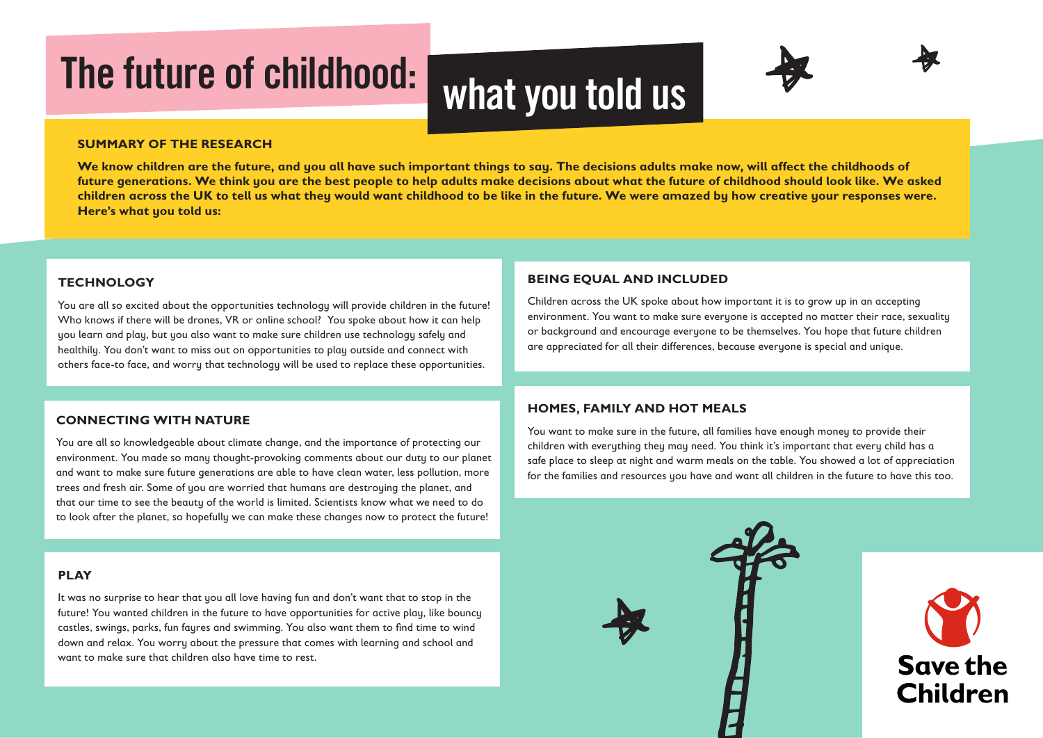# The future of childhood: what you told us



**We know children are the future, and you all have such important things to say. The decisions adults make now, will affect the childhoods of future generations. We think you are the best people to help adults make decisions about what the future of childhood should look like. We asked children across the UK to tell us what they would want childhood to be like in the future. We were amazed by how creative your responses were. Here's what you told us:**

#### **TECHNOLOGY**

You are all so excited about the opportunities technology will provide children in the future! Who knows if there will be drones, VR or online school? You spoke about how it can help you learn and play, but you also want to make sure children use technology safely and healthily. You don't want to miss out on opportunities to play outside and connect with others face-to face, and worry that technology will be used to replace these opportunities.

#### **CONNECTING WITH NATURE**

You are all so knowledgeable about climate change, and the importance of protecting our environment. You made so many thought-provoking comments about our duty to our planet and want to make sure future generations are able to have clean water, less pollution, more trees and fresh air. Some of you are worried that humans are destroying the planet, and that our time to see the beauty of the world is limited. Scientists know what we need to do to look after the planet, so hopefully we can make these changes now to protect the future!

#### **PLAY**

It was no surprise to hear that you all love having fun and don't want that to stop in the future! You wanted children in the future to have opportunities for active play, like bouncy castles, swings, parks, fun fayres and swimming. You also want them to find time to wind down and relax. You worry about the pressure that comes with learning and school and want to make sure that children also have time to rest.

#### **BEING EQUAL AND INCLUDED**

Children across the UK spoke about how important it is to grow up in an accepting environment. You want to make sure everyone is accepted no matter their race, sexuality or background and encourage everyone to be themselves. You hope that future children are appreciated for all their differences, because everyone is special and unique.

#### **HOMES, FAMILY AND HOT MEALS**

You want to make sure in the future, all families have enough money to provide their children with everything they may need. You think it's important that every child has a safe place to sleep at night and warm meals on the table. You showed a lot of appreciation for the families and resources you have and want all children in the future to have this too.